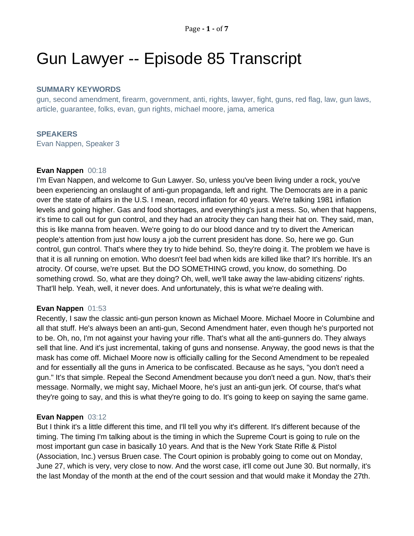# Gun Lawyer -- Episode 85 Transcript

# **SUMMARY KEYWORDS**

gun, second amendment, firearm, government, anti, rights, lawyer, fight, guns, red flag, law, gun laws, article, guarantee, folks, evan, gun rights, michael moore, jama, america

## **SPEAKERS**

Evan Nappen, Speaker 3

## **Evan Nappen** 00:18

I'm Evan Nappen, and welcome to Gun Lawyer. So, unless you've been living under a rock, you've been experiencing an onslaught of anti-gun propaganda, left and right. The Democrats are in a panic over the state of affairs in the U.S. I mean, record inflation for 40 years. We're talking 1981 inflation levels and going higher. Gas and food shortages, and everything's just a mess. So, when that happens, it's time to call out for gun control, and they had an atrocity they can hang their hat on. They said, man, this is like manna from heaven. We're going to do our blood dance and try to divert the American people's attention from just how lousy a job the current president has done. So, here we go. Gun control, gun control. That's where they try to hide behind. So, they're doing it. The problem we have is that it is all running on emotion. Who doesn't feel bad when kids are killed like that? It's horrible. It's an atrocity. Of course, we're upset. But the DO SOMETHING crowd, you know, do something. Do something crowd. So, what are they doing? Oh, well, we'll take away the law-abiding citizens' rights. That'll help. Yeah, well, it never does. And unfortunately, this is what we're dealing with.

## **Evan Nappen** 01:53

Recently, I saw the classic anti-gun person known as Michael Moore. Michael Moore in Columbine and all that stuff. He's always been an anti-gun, Second Amendment hater, even though he's purported not to be. Oh, no, I'm not against your having your rifle. That's what all the anti-gunners do. They always sell that line. And it's just incremental, taking of guns and nonsense. Anyway, the good news is that the mask has come off. Michael Moore now is officially calling for the Second Amendment to be repealed and for essentially all the guns in America to be confiscated. Because as he says, "you don't need a gun." It's that simple. Repeal the Second Amendment because you don't need a gun. Now, that's their message. Normally, we might say, Michael Moore, he's just an anti-gun jerk. Of course, that's what they're going to say, and this is what they're going to do. It's going to keep on saying the same game.

## **Evan Nappen** 03:12

But I think it's a little different this time, and I'll tell you why it's different. It's different because of the timing. The timing I'm talking about is the timing in which the Supreme Court is going to rule on the most important gun case in basically 10 years. And that is the New York State Rifle & Pistol (Association, Inc.) versus Bruen case. The Court opinion is probably going to come out on Monday, June 27, which is very, very close to now. And the worst case, it'll come out June 30. But normally, it's the last Monday of the month at the end of the court session and that would make it Monday the 27th.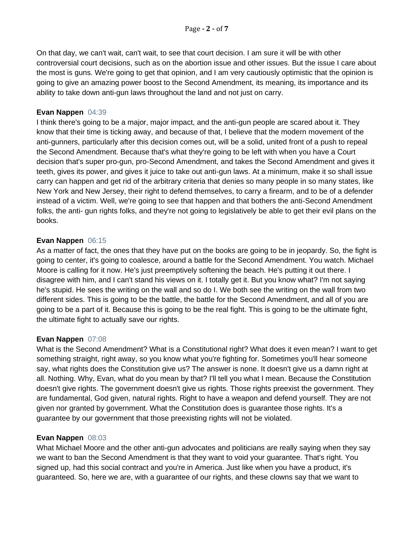On that day, we can't wait, can't wait, to see that court decision. I am sure it will be with other controversial court decisions, such as on the abortion issue and other issues. But the issue I care about the most is guns. We're going to get that opinion, and I am very cautiously optimistic that the opinion is going to give an amazing power boost to the Second Amendment, its meaning, its importance and its ability to take down anti-gun laws throughout the land and not just on carry.

## **Evan Nappen** 04:39

I think there's going to be a major, major impact, and the anti-gun people are scared about it. They know that their time is ticking away, and because of that, I believe that the modern movement of the anti-gunners, particularly after this decision comes out, will be a solid, united front of a push to repeal the Second Amendment. Because that's what they're going to be left with when you have a Court decision that's super pro-gun, pro-Second Amendment, and takes the Second Amendment and gives it teeth, gives its power, and gives it juice to take out anti-gun laws. At a minimum, make it so shall issue carry can happen and get rid of the arbitrary criteria that denies so many people in so many states, like New York and New Jersey, their right to defend themselves, to carry a firearm, and to be of a defender instead of a victim. Well, we're going to see that happen and that bothers the anti-Second Amendment folks, the anti- gun rights folks, and they're not going to legislatively be able to get their evil plans on the books.

## **Evan Nappen** 06:15

As a matter of fact, the ones that they have put on the books are going to be in jeopardy. So, the fight is going to center, it's going to coalesce, around a battle for the Second Amendment. You watch. Michael Moore is calling for it now. He's just preemptively softening the beach. He's putting it out there. I disagree with him, and I can't stand his views on it. I totally get it. But you know what? I'm not saying he's stupid. He sees the writing on the wall and so do I. We both see the writing on the wall from two different sides. This is going to be the battle, the battle for the Second Amendment, and all of you are going to be a part of it. Because this is going to be the real fight. This is going to be the ultimate fight, the ultimate fight to actually save our rights.

# **Evan Nappen** 07:08

What is the Second Amendment? What is a Constitutional right? What does it even mean? I want to get something straight, right away, so you know what you're fighting for. Sometimes you'll hear someone say, what rights does the Constitution give us? The answer is none. It doesn't give us a damn right at all. Nothing. Why, Evan, what do you mean by that? I'll tell you what I mean. Because the Constitution doesn't give rights. The government doesn't give us rights. Those rights preexist the government. They are fundamental, God given, natural rights. Right to have a weapon and defend yourself. They are not given nor granted by government. What the Constitution does is guarantee those rights. It's a guarantee by our government that those preexisting rights will not be violated.

# **Evan Nappen** 08:03

What Michael Moore and the other anti-gun advocates and politicians are really saying when they say we want to ban the Second Amendment is that they want to void your guarantee. That's right. You signed up, had this social contract and you're in America. Just like when you have a product, it's guaranteed. So, here we are, with a guarantee of our rights, and these clowns say that we want to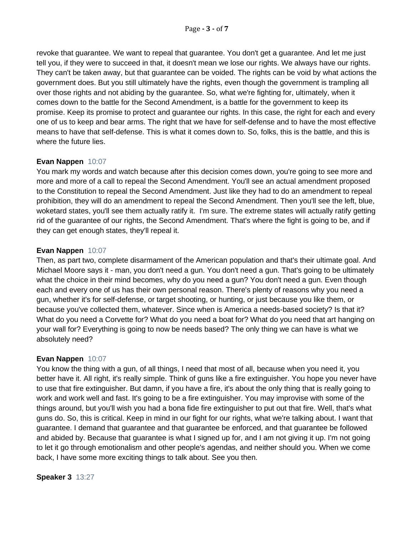revoke that guarantee. We want to repeal that guarantee. You don't get a guarantee. And let me just tell you, if they were to succeed in that, it doesn't mean we lose our rights. We always have our rights. They can't be taken away, but that guarantee can be voided. The rights can be void by what actions the government does. But you still ultimately have the rights, even though the government is trampling all over those rights and not abiding by the guarantee. So, what we're fighting for, ultimately, when it comes down to the battle for the Second Amendment, is a battle for the government to keep its promise. Keep its promise to protect and guarantee our rights. In this case, the right for each and every one of us to keep and bear arms. The right that we have for self-defense and to have the most effective means to have that self-defense. This is what it comes down to. So, folks, this is the battle, and this is where the future lies.

# **Evan Nappen** 10:07

You mark my words and watch because after this decision comes down, you're going to see more and more and more of a call to repeal the Second Amendment. You'll see an actual amendment proposed to the Constitution to repeal the Second Amendment. Just like they had to do an amendment to repeal prohibition, they will do an amendment to repeal the Second Amendment. Then you'll see the left, blue, woketard states, you'll see them actually ratify it. I'm sure. The extreme states will actually ratify getting rid of the guarantee of our rights, the Second Amendment. That's where the fight is going to be, and if they can get enough states, they'll repeal it.

# **Evan Nappen** 10:07

Then, as part two, complete disarmament of the American population and that's their ultimate goal. And Michael Moore says it - man, you don't need a gun. You don't need a gun. That's going to be ultimately what the choice in their mind becomes, why do you need a gun? You don't need a gun. Even though each and every one of us has their own personal reason. There's plenty of reasons why you need a gun, whether it's for self-defense, or target shooting, or hunting, or just because you like them, or because you've collected them, whatever. Since when is America a needs-based society? Is that it? What do you need a Corvette for? What do you need a boat for? What do you need that art hanging on your wall for? Everything is going to now be needs based? The only thing we can have is what we absolutely need?

# **Evan Nappen** 10:07

You know the thing with a gun, of all things, I need that most of all, because when you need it, you better have it. All right, it's really simple. Think of guns like a fire extinguisher. You hope you never have to use that fire extinguisher. But damn, if you have a fire, it's about the only thing that is really going to work and work well and fast. It's going to be a fire extinguisher. You may improvise with some of the things around, but you'll wish you had a bona fide fire extinguisher to put out that fire. Well, that's what guns do. So, this is critical. Keep in mind in our fight for our rights, what we're talking about. I want that guarantee. I demand that guarantee and that guarantee be enforced, and that guarantee be followed and abided by. Because that guarantee is what I signed up for, and I am not giving it up. I'm not going to let it go through emotionalism and other people's agendas, and neither should you. When we come back, I have some more exciting things to talk about. See you then.

# **Speaker 3** 13:27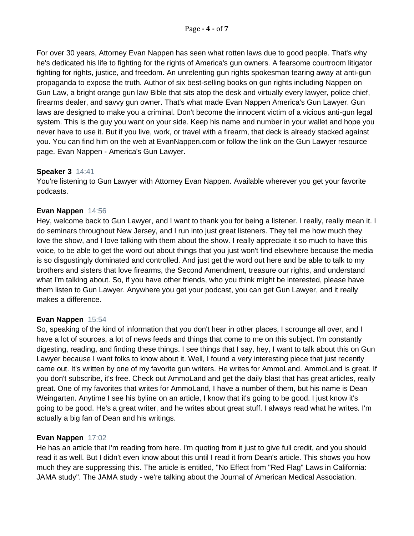For over 30 years, Attorney Evan Nappen has seen what rotten laws due to good people. That's why he's dedicated his life to fighting for the rights of America's gun owners. A fearsome courtroom litigator fighting for rights, justice, and freedom. An unrelenting gun rights spokesman tearing away at anti-gun propaganda to expose the truth. Author of six best-selling books on gun rights including Nappen on Gun Law, a bright orange gun law Bible that sits atop the desk and virtually every lawyer, police chief, firearms dealer, and savvy gun owner. That's what made Evan Nappen America's Gun Lawyer. Gun laws are designed to make you a criminal. Don't become the innocent victim of a vicious anti-gun legal system. This is the guy you want on your side. Keep his name and number in your wallet and hope you never have to use it. But if you live, work, or travel with a firearm, that deck is already stacked against you. You can find him on the web at EvanNappen.com or follow the link on the Gun Lawyer resource page. Evan Nappen - America's Gun Lawyer.

# **Speaker 3** 14:41

You're listening to Gun Lawyer with Attorney Evan Nappen. Available wherever you get your favorite podcasts.

# **Evan Nappen** 14:56

Hey, welcome back to Gun Lawyer, and I want to thank you for being a listener. I really, really mean it. I do seminars throughout New Jersey, and I run into just great listeners. They tell me how much they love the show, and I love talking with them about the show. I really appreciate it so much to have this voice, to be able to get the word out about things that you just won't find elsewhere because the media is so disgustingly dominated and controlled. And just get the word out here and be able to talk to my brothers and sisters that love firearms, the Second Amendment, treasure our rights, and understand what I'm talking about. So, if you have other friends, who you think might be interested, please have them listen to Gun Lawyer. Anywhere you get your podcast, you can get Gun Lawyer, and it really makes a difference.

# **Evan Nappen** 15:54

So, speaking of the kind of information that you don't hear in other places, I scrounge all over, and I have a lot of sources, a lot of news feeds and things that come to me on this subject. I'm constantly digesting, reading, and finding these things. I see things that I say, hey, I want to talk about this on Gun Lawyer because I want folks to know about it. Well, I found a very interesting piece that just recently came out. It's written by one of my favorite gun writers. He writes for AmmoLand. AmmoLand is great. If you don't subscribe, it's free. Check out AmmoLand and get the daily blast that has great articles, really great. One of my favorites that writes for AmmoLand, I have a number of them, but his name is Dean Weingarten. Anytime I see his byline on an article, I know that it's going to be good. I just know it's going to be good. He's a great writer, and he writes about great stuff. I always read what he writes. I'm actually a big fan of Dean and his writings.

# **Evan Nappen** 17:02

He has an article that I'm reading from here. I'm quoting from it just to give full credit, and you should read it as well. But I didn't even know about this until I read it from Dean's article. This shows you how much they are suppressing this. The article is entitled, "No Effect from "Red Flag" Laws in California: JAMA study". The JAMA study - we're talking about the Journal of American Medical Association.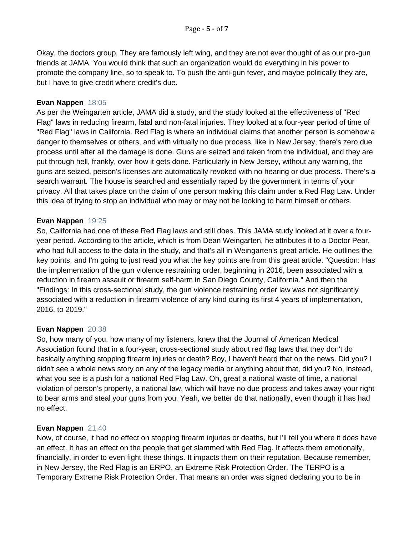Okay, the doctors group. They are famously left wing, and they are not ever thought of as our pro-gun friends at JAMA. You would think that such an organization would do everything in his power to promote the company line, so to speak to. To push the anti-gun fever, and maybe politically they are, but I have to give credit where credit's due.

## **Evan Nappen** 18:05

As per the Weingarten article, JAMA did a study, and the study looked at the effectiveness of "Red Flag" laws in reducing firearm, fatal and non-fatal injuries. They looked at a four-year period of time of "Red Flag" laws in California. Red Flag is where an individual claims that another person is somehow a danger to themselves or others, and with virtually no due process, like in New Jersey, there's zero due process until after all the damage is done. Guns are seized and taken from the individual, and they are put through hell, frankly, over how it gets done. Particularly in New Jersey, without any warning, the guns are seized, person's licenses are automatically revoked with no hearing or due process. There's a search warrant. The house is searched and essentially raped by the government in terms of your privacy. All that takes place on the claim of one person making this claim under a Red Flag Law. Under this idea of trying to stop an individual who may or may not be looking to harm himself or others.

## **Evan Nappen** 19:25

So, California had one of these Red Flag laws and still does. This JAMA study looked at it over a fouryear period. According to the article, which is from Dean Weingarten, he attributes it to a Doctor Pear, who had full access to the data in the study, and that's all in Weingarten's great article. He outlines the key points, and I'm going to just read you what the key points are from this great article. "Question: Has the implementation of the gun violence restraining order, beginning in 2016, been associated with a reduction in firearm assault or firearm self-harm in San Diego County, California." And then the "Findings: In this cross-sectional study, the gun violence restraining order law was not significantly associated with a reduction in firearm violence of any kind during its first 4 years of implementation, 2016, to 2019."

# **Evan Nappen** 20:38

So, how many of you, how many of my listeners, knew that the Journal of American Medical Association found that in a four-year, cross-sectional study about red flag laws that they don't do basically anything stopping firearm injuries or death? Boy, I haven't heard that on the news. Did you? I didn't see a whole news story on any of the legacy media or anything about that, did you? No, instead, what you see is a push for a national Red Flag Law. Oh, great a national waste of time, a national violation of person's property, a national law, which will have no due process and takes away your right to bear arms and steal your guns from you. Yeah, we better do that nationally, even though it has had no effect.

## **Evan Nappen** 21:40

Now, of course, it had no effect on stopping firearm injuries or deaths, but I'll tell you where it does have an effect. It has an effect on the people that get slammed with Red Flag. It affects them emotionally, financially, in order to even fight these things. It impacts them on their reputation. Because remember, in New Jersey, the Red Flag is an ERPO, an Extreme Risk Protection Order. The TERPO is a Temporary Extreme Risk Protection Order. That means an order was signed declaring you to be in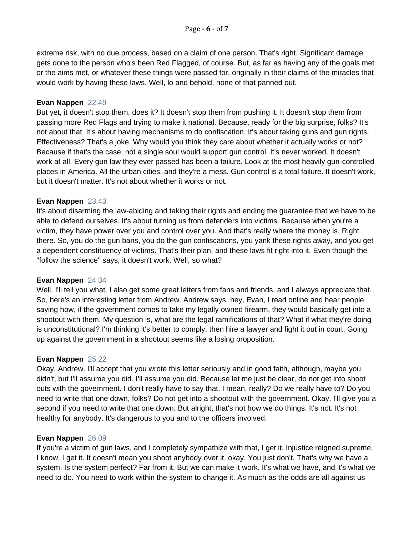extreme risk, with no due process, based on a claim of one person. That's right. Significant damage gets done to the person who's been Red Flagged, of course. But, as far as having any of the goals met or the aims met, or whatever these things were passed for, originally in their claims of the miracles that would work by having these laws. Well, lo and behold, none of that panned out.

## **Evan Nappen** 22:49

But yet, it doesn't stop them, does it? It doesn't stop them from pushing it. It doesn't stop them from passing more Red Flags and trying to make it national. Because, ready for the big surprise, folks? It's not about that. It's about having mechanisms to do confiscation. It's about taking guns and gun rights. Effectiveness? That's a joke. Why would you think they care about whether it actually works or not? Because if that's the case, not a single soul would support gun control. It's never worked. It doesn't work at all. Every gun law they ever passed has been a failure. Look at the most heavily gun-controlled places in America. All the urban cities, and they're a mess. Gun control is a total failure. It doesn't work, but it doesn't matter. It's not about whether it works or not.

## **Evan Nappen** 23:43

It's about disarming the law-abiding and taking their rights and ending the guarantee that we have to be able to defend ourselves. It's about turning us from defenders into victims. Because when you're a victim, they have power over you and control over you. And that's really where the money is. Right there. So, you do the gun bans, you do the gun confiscations, you yank these rights away, and you get a dependent constituency of victims. That's their plan, and these laws fit right into it. Even though the "follow the science" says, it doesn't work. Well, so what?

## **Evan Nappen** 24:34

Well, I'll tell you what. I also get some great letters from fans and friends, and I always appreciate that. So, here's an interesting letter from Andrew. Andrew says, hey, Evan, I read online and hear people saying how, if the government comes to take my legally owned firearm, they would basically get into a shootout with them. My question is, what are the legal ramifications of that? What if what they're doing is unconstitutional? I'm thinking it's better to comply, then hire a lawyer and fight it out in court. Going up against the government in a shootout seems like a losing proposition.

## **Evan Nappen** 25:22

Okay, Andrew. I'll accept that you wrote this letter seriously and in good faith, although, maybe you didn't, but I'll assume you did. I'll assume you did. Because let me just be clear, do not get into shoot outs with the government. I don't really have to say that. I mean, really? Do we really have to? Do you need to write that one down, folks? Do not get into a shootout with the government. Okay. I'll give you a second if you need to write that one down. But alright, that's not how we do things. It's not. It's not healthy for anybody. It's dangerous to you and to the officers involved.

## **Evan Nappen** 26:09

If you're a victim of gun laws, and I completely sympathize with that, I get it. Injustice reigned supreme. I know. I get it. It doesn't mean you shoot anybody over it, okay. You just don't. That's why we have a system. Is the system perfect? Far from it. But we can make it work. It's what we have, and it's what we need to do. You need to work within the system to change it. As much as the odds are all against us